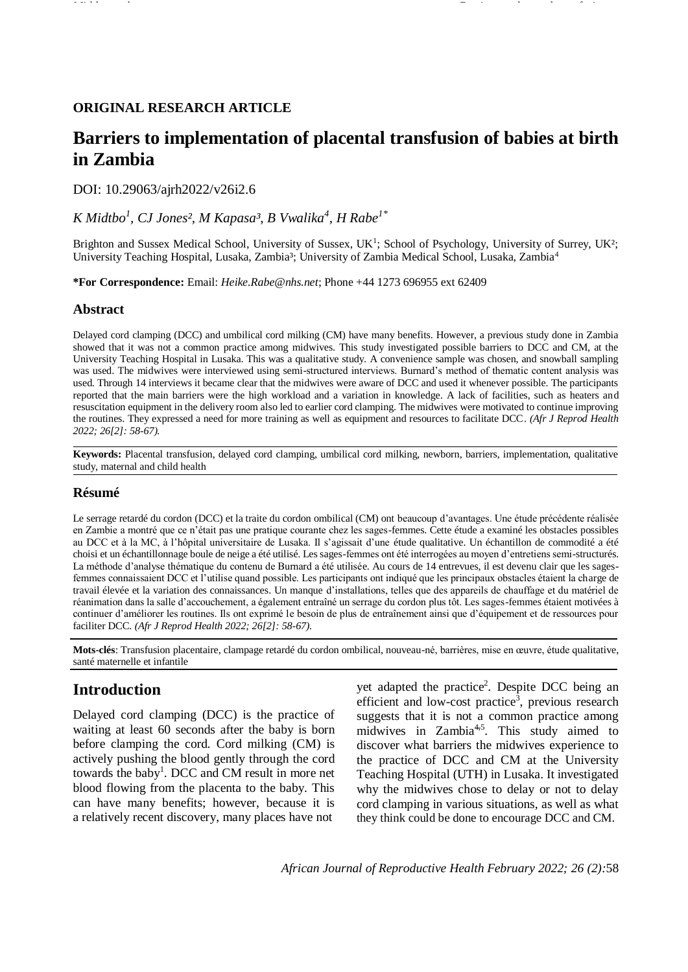## **ORIGINAL RESEARCH ARTICLE**

# **Barriers to implementation of placental transfusion of babies at birth in Zambia**

DOI: 10.29063/ajrh2022/v26i2.6

## *K Midtbo<sup>1</sup> , CJ Jones², M Kapasa³, B Vwalika<sup>4</sup> , H Rabe1\**

Brighton and Sussex Medical School, University of Sussex, UK<sup>1</sup>; School of Psychology, University of Surrey, UK<sup>2</sup>; University Teaching Hospital, Lusaka, Zambia<sup>3</sup>; University of Zambia Medical School, Lusaka, Zambia<sup>4</sup>

**\*For Correspondence:** Email: *Heike.Rabe@nhs.net*; Phone +44 1273 696955 ext 62409

### **Abstract**

Delayed cord clamping (DCC) and umbilical cord milking (CM) have many benefits. However, a previous study done in Zambia showed that it was not a common practice among midwives. This study investigated possible barriers to DCC and CM, at the University Teaching Hospital in Lusaka. This was a qualitative study. A convenience sample was chosen, and snowball sampling was used. The midwives were interviewed using semi-structured interviews. Burnard's method of thematic content analysis was used. Through 14 interviews it became clear that the midwives were aware of DCC and used it whenever possible. The participants reported that the main barriers were the high workload and a variation in knowledge. A lack of facilities, such as heaters and resuscitation equipment in the delivery room also led to earlier cord clamping. The midwives were motivated to continue improving the routines. They expressed a need for more training as well as equipment and resources to facilitate DCC. *(Afr J Reprod Health 2022; 26[2]: 58-67).*

**Keywords:** Placental transfusion, delayed cord clamping, umbilical cord milking, newborn, barriers, implementation, qualitative study, maternal and child health

## **Résumé**

Le serrage retardé du cordon (DCC) et la traite du cordon ombilical (CM) ont beaucoup d'avantages. Une étude précédente réalisée en Zambie a montré que ce n'était pas une pratique courante chez les sages-femmes. Cette étude a examiné les obstacles possibles au DCC et à la MC, à l'hôpital universitaire de Lusaka. Il s'agissait d'une étude qualitative. Un échantillon de commodité a été choisi et un échantillonnage boule de neige a été utilisé. Les sages-femmes ont été interrogées au moyen d'entretiens semi-structurés. La méthode d'analyse thématique du contenu de Burnard a été utilisée. Au cours de 14 entrevues, il est devenu clair que les sagesfemmes connaissaient DCC et l'utilise quand possible. Les participants ont indiqué que les principaux obstacles étaient la charge de travail élevée et la variation des connaissances. Un manque d'installations, telles que des appareils de chauffage et du matériel de réanimation dans la salle d'accouchement, a également entraîné un serrage du cordon plus tôt. Les sages-femmes étaient motivées à continuer d'améliorer les routines. Ils ont exprimé le besoin de plus de entraînement ainsi que d'équipement et de ressources pour faciliter DCC. *(Afr J Reprod Health 2022; 26[2]: 58-67).*

**Mots-clés**: Transfusion placentaire, clampage retardé du cordon ombilical, nouveau-né, barrières, mise en œuvre, étude qualitative, santé maternelle et infantile

## **Introduction**

Delayed cord clamping (DCC) is the practice of waiting at least 60 seconds after the baby is born before clamping the cord. Cord milking (CM) is actively pushing the blood gently through the cord towards the baby<sup>1</sup>. DCC and CM result in more net blood flowing from the placenta to the baby. This can have many benefits; however, because it is a relatively recent discovery, many places have not

yet adapted the practice<sup>2</sup>. Despite DCC being an efficient and low-cost practice<sup>3</sup>, previous research suggests that it is not a common practice among midwives in Zambia<sup>4,5</sup>. This study aimed to discover what barriers the midwives experience to the practice of DCC and CM at the University Teaching Hospital (UTH) in Lusaka. It investigated why the midwives chose to delay or not to delay cord clamping in various situations, as well as what they think could be done to encourage DCC and CM.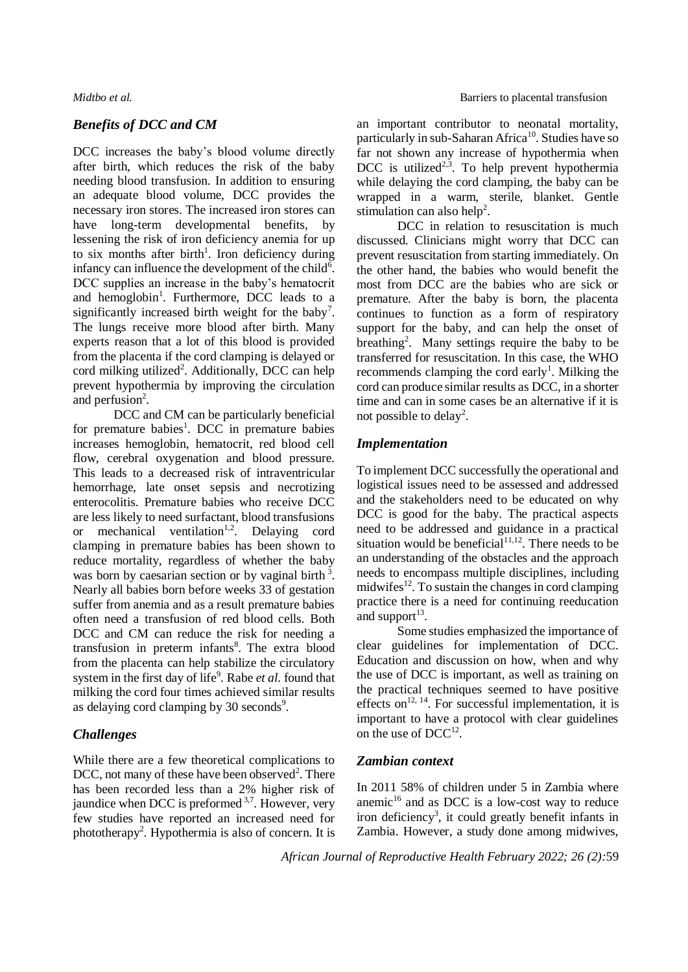## *Benefits of DCC and CM*

DCC increases the baby's blood volume directly after birth, which reduces the risk of the baby needing blood transfusion. In addition to ensuring an adequate blood volume, DCC provides the necessary iron stores. The increased iron stores can have long-term developmental benefits, by lessening the risk of iron deficiency anemia for up to six months after birth<sup>1</sup>. Iron deficiency during infancy can influence the development of the child<sup>6</sup>. DCC supplies an increase in the baby's hematocrit and hemoglobin<sup>1</sup>. Furthermore, DCC leads to a significantly increased birth weight for the baby<sup>7</sup>. The lungs receive more blood after birth. Many experts reason that a lot of this blood is provided from the placenta if the cord clamping is delayed or cord milking utilized<sup>2</sup>. Additionally, DCC can help prevent hypothermia by improving the circulation and perfusion $2$ .

DCC and CM can be particularly beneficial for premature babies<sup>1</sup>. DCC in premature babies increases hemoglobin, hematocrit, red blood cell flow, cerebral oxygenation and blood pressure. This leads to a decreased risk of intraventricular hemorrhage, late onset sepsis and necrotizing enterocolitis. Premature babies who receive DCC are less likely to need surfactant, blood transfusions or mechanical ventilation<sup>1,2</sup>. Delaying cord clamping in premature babies has been shown to reduce mortality, regardless of whether the baby was born by caesarian section or by vaginal birth  $3$ . Nearly all babies born before weeks 33 of gestation suffer from anemia and as a result premature babies often need a transfusion of red blood cells. Both DCC and CM can reduce the risk for needing a transfusion in preterm infants<sup>8</sup>. The extra blood from the placenta can help stabilize the circulatory system in the first day of life<sup>9</sup>. Rabe *et al*. found that milking the cord four times achieved similar results as delaying cord clamping by 30 seconds<sup>9</sup>.

## *Challenges*

While there are a few theoretical complications to DCC, not many of these have been observed<sup>2</sup>. There has been recorded less than a 2% higher risk of jaundice when DCC is preformed  $3,7$ . However, very few studies have reported an increased need for phototherapy<sup>2</sup>. Hypothermia is also of concern. It is an important contributor to neonatal mortality, particularly in sub-Saharan Africa<sup>10</sup>. Studies have so far not shown any increase of hypothermia when DCC is utilized<sup>2,5</sup>. To help prevent hypothermia while delaying the cord clamping, the baby can be wrapped in a warm, sterile, blanket. Gentle stimulation can also help<sup>2</sup>.

DCC in relation to resuscitation is much discussed. Clinicians might worry that DCC can prevent resuscitation from starting immediately. On the other hand, the babies who would benefit the most from DCC are the babies who are sick or premature. After the baby is born, the placenta continues to function as a form of respiratory support for the baby, and can help the onset of breathing<sup>2</sup>. Many settings require the baby to be transferred for resuscitation. In this case, the WHO recommends clamping the cord early<sup>1</sup>. Milking the cord can produce similar results as DCC, in a shorter time and can in some cases be an alternative if it is not possible to delay<sup>2</sup>.

### *Implementation*

To implement DCC successfully the operational and logistical issues need to be assessed and addressed and the stakeholders need to be educated on why DCC is good for the baby. The practical aspects need to be addressed and guidance in a practical situation would be beneficial<sup>11,12</sup>. There needs to be an understanding of the obstacles and the approach needs to encompass multiple disciplines, including midwifes<sup>12</sup>. To sustain the changes in cord clamping practice there is a need for continuing reeducation and support $^{13}$ .

Some studies emphasized the importance of clear guidelines for implementation of DCC. Education and discussion on how, when and why the use of DCC is important, as well as training on the practical techniques seemed to have positive effects on<sup>12, 14</sup>. For successful implementation, it is important to have a protocol with clear guidelines on the use of  $DCC^{12}$ .

### *Zambian context*

In 2011 58% of children under 5 in Zambia where anemic $16$  and as DCC is a low-cost way to reduce iron deficiency<sup>3</sup>, it could greatly benefit infants in Zambia. However, a study done among midwives,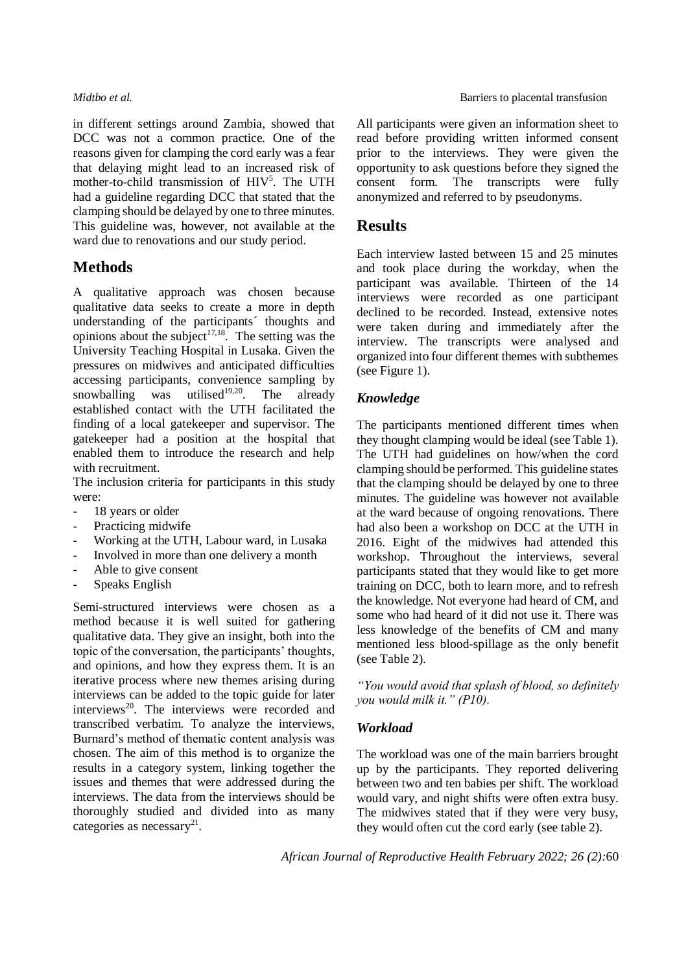in different settings around Zambia, showed that DCC was not a common practice. One of the reasons given for clamping the cord early was a fear that delaying might lead to an increased risk of mother-to-child transmission of HIV<sup>5</sup>. The UTH had a guideline regarding DCC that stated that the clamping should be delayed by one to three minutes. This guideline was, however, not available at the ward due to renovations and our study period.

## **Methods**

A qualitative approach was chosen because qualitative data seeks to create a more in depth understanding of the participants´ thoughts and opinions about the subject<sup>17,18</sup>. The setting was the University Teaching Hospital in Lusaka. Given the pressures on midwives and anticipated difficulties accessing participants, convenience sampling by snowballing was utilised<sup>19,20</sup>. The already established contact with the UTH facilitated the finding of a local gatekeeper and supervisor. The gatekeeper had a position at the hospital that enabled them to introduce the research and help with recruitment.

The inclusion criteria for participants in this study were:

- 18 years or older
- Practicing midwife
- Working at the UTH, Labour ward, in Lusaka
- Involved in more than one delivery a month
- Able to give consent
- Speaks English

Semi-structured interviews were chosen as a method because it is well suited for gathering qualitative data. They give an insight, both into the topic of the conversation, the participants' thoughts, and opinions, and how they express them. It is an iterative process where new themes arising during interviews can be added to the topic guide for later interviews<sup>20</sup>. The interviews were recorded and transcribed verbatim. To analyze the interviews, Burnard's method of thematic content analysis was chosen. The aim of this method is to organize the results in a category system, linking together the issues and themes that were addressed during the interviews. The data from the interviews should be thoroughly studied and divided into as many categories as necessary<sup>21</sup>.

All participants were given an information sheet to read before providing written informed consent prior to the interviews. They were given the opportunity to ask questions before they signed the consent form. The transcripts were fully anonymized and referred to by pseudonyms.

## **Results**

Each interview lasted between 15 and 25 minutes and took place during the workday, when the participant was available. Thirteen of the 14 interviews were recorded as one participant declined to be recorded. Instead, extensive notes were taken during and immediately after the interview. The transcripts were analysed and organized into four different themes with subthemes (see Figure 1).

## *Knowledge*

The participants mentioned different times when they thought clamping would be ideal (see Table 1). The UTH had guidelines on how/when the cord clamping should be performed. This guideline states that the clamping should be delayed by one to three minutes. The guideline was however not available at the ward because of ongoing renovations. There had also been a workshop on DCC at the UTH in 2016. Eight of the midwives had attended this workshop. Throughout the interviews, several participants stated that they would like to get more training on DCC, both to learn more, and to refresh the knowledge. Not everyone had heard of CM, and some who had heard of it did not use it. There was less knowledge of the benefits of CM and many mentioned less blood-spillage as the only benefit (see Table 2).

*"You would avoid that splash of blood, so definitely you would milk it." (P10).*

## *Workload*

The workload was one of the main barriers brought up by the participants. They reported delivering between two and ten babies per shift. The workload would vary, and night shifts were often extra busy. The midwives stated that if they were very busy, they would often cut the cord early (see table 2).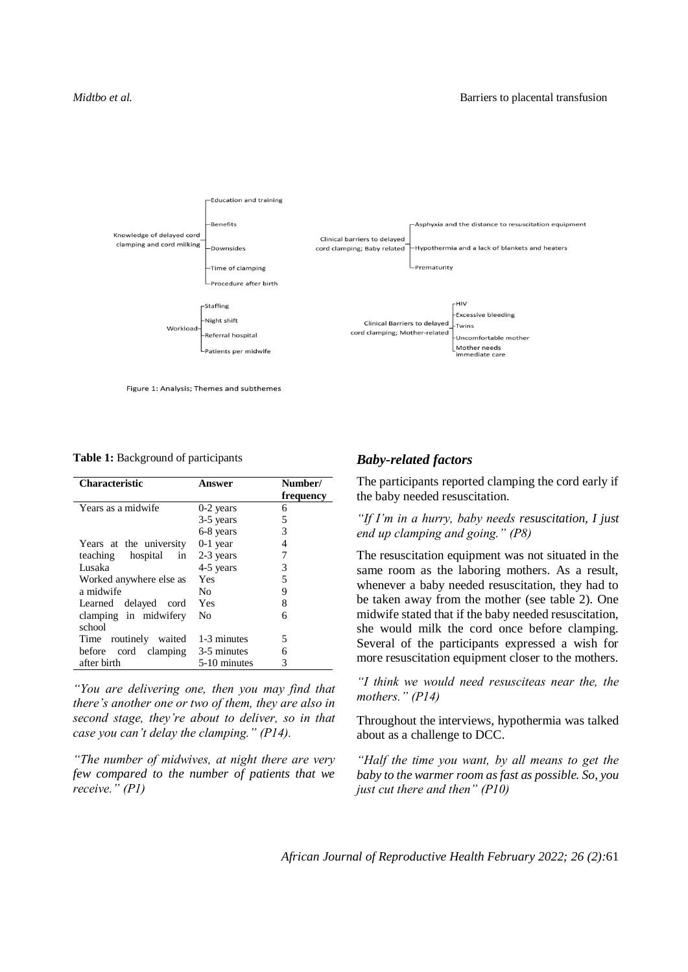

Figure 1: Analysis; Themes and subthemes

**Table 1:** Background of participants

| <b>Characteristic</b>            | Answer       | Number/<br>frequency |
|----------------------------------|--------------|----------------------|
| Years as a midwife               | $0-2$ years  | 6                    |
|                                  | 3-5 years    | 5                    |
|                                  | 6-8 years    | 3                    |
| Years at the university          | $0-1$ year   | 4                    |
| teaching hospital<br>in          | 2-3 years    | 7                    |
| Lusaka                           | 4-5 years    | 3                    |
| Worked anywhere else as          | Yes          | 5                    |
| a midwife                        | No           | 9                    |
| Learned delayed cord             | Yes          | 8                    |
| clamping in midwifery            | No           | 6                    |
| school                           |              |                      |
| Time routinely waited            | 1-3 minutes  | 5                    |
| before cord clamping 3-5 minutes |              | 6                    |
| after birth                      | 5-10 minutes | 3                    |

*"You are delivering one, then you may find that there's another one or two of them, they are also in second stage, they're about to deliver, so in that case you can't delay the clamping." (P14).* 

*"The number of midwives, at night there are very few compared to the number of patients that we receive." (P1)* 

### *Baby-related factors*

The participants reported clamping the cord early if the baby needed resuscitation.

*"If I'm in a hurry, baby needs resuscitation, I just end up clamping and going." (P8)*

The resuscitation equipment was not situated in the same room as the laboring mothers. As a result, whenever a baby needed resuscitation, they had to be taken away from the mother (see table 2). One midwife stated that if the baby needed resuscitation, she would milk the cord once before clamping. Several of the participants expressed a wish for more resuscitation equipment closer to the mothers.

*"I think we would need resusciteas near the, the mothers." (P14)*

Throughout the interviews, hypothermia was talked about as a challenge to DCC.

*"Half the time you want, by all means to get the baby to the warmer room as fast as possible. So, you just cut there and then" (P10)*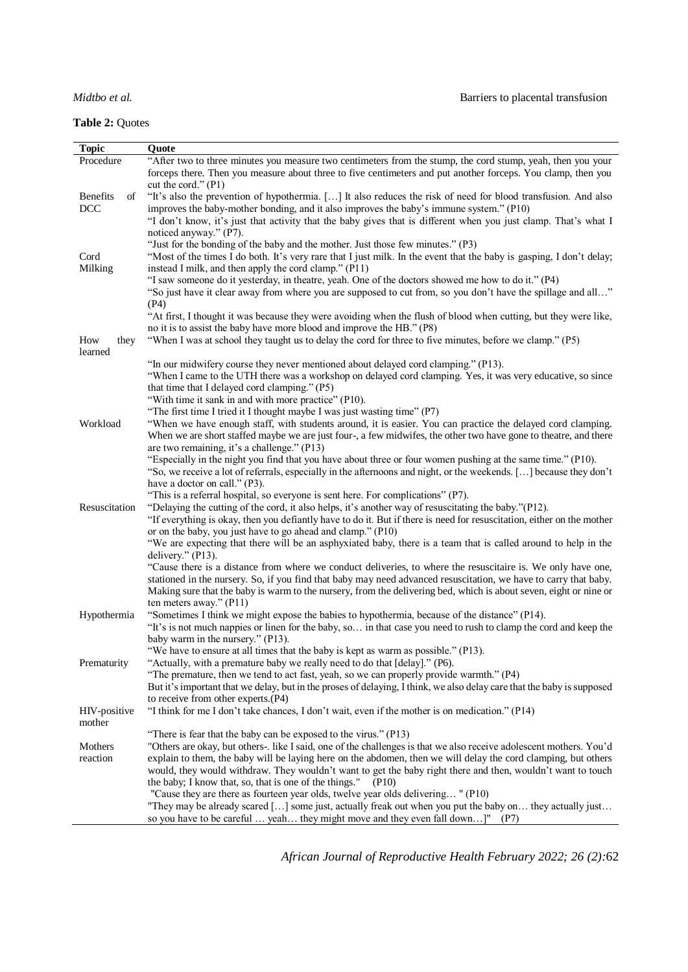**Table 2:** Quotes

| <b>Topic</b>   | Quote                                                                                                                                                                                                                            |
|----------------|----------------------------------------------------------------------------------------------------------------------------------------------------------------------------------------------------------------------------------|
| Procedure      | "After two to three minutes you measure two centimeters from the stump, the cord stump, yeah, then you your                                                                                                                      |
|                | forceps there. Then you measure about three to five centimeters and put another forceps. You clamp, then you<br>cut the cord." $(P1)$                                                                                            |
| Benefits<br>of | "It's also the prevention of hypothermia. [] It also reduces the risk of need for blood transfusion. And also                                                                                                                    |
| <b>DCC</b>     | improves the baby-mother bonding, and it also improves the baby's immune system." (P10)                                                                                                                                          |
|                | "I don't know, it's just that activity that the baby gives that is different when you just clamp. That's what I                                                                                                                  |
|                | noticed anyway." (P7).                                                                                                                                                                                                           |
|                | "Just for the bonding of the baby and the mother. Just those few minutes." (P3)                                                                                                                                                  |
| Cord           | "Most of the times I do both. It's very rare that I just milk. In the event that the baby is gasping, I don't delay;                                                                                                             |
| Milking        | instead I milk, and then apply the cord clamp." (P11)                                                                                                                                                                            |
|                | "I saw someone do it yesterday, in theatre, yeah. One of the doctors showed me how to do it." (P4)                                                                                                                               |
|                | "So just have it clear away from where you are supposed to cut from, so you don't have the spillage and all"                                                                                                                     |
|                | (P4)                                                                                                                                                                                                                             |
|                | "At first, I thought it was because they were avoiding when the flush of blood when cutting, but they were like,<br>no it is to assist the baby have more blood and improve the HB." (P8)                                        |
| How<br>they    | "When I was at school they taught us to delay the cord for three to five minutes, before we clamp." (P5)                                                                                                                         |
| learned        |                                                                                                                                                                                                                                  |
|                | "In our midwifery course they never mentioned about delayed cord clamping." (P13).                                                                                                                                               |
|                | "When I came to the UTH there was a workshop on delayed cord clamping. Yes, it was very educative, so since                                                                                                                      |
|                | that time that I delayed cord clamping." (P5)                                                                                                                                                                                    |
|                | "With time it sank in and with more practice" (P10).                                                                                                                                                                             |
|                | "The first time I tried it I thought maybe I was just wasting time" (P7)                                                                                                                                                         |
| Workload       | "When we have enough staff, with students around, it is easier. You can practice the delayed cord clamping.                                                                                                                      |
|                | When we are short staffed maybe we are just four-, a few midwifes, the other two have gone to theatre, and there                                                                                                                 |
|                | are two remaining, it's a challenge." (P13)<br>"Especially in the night you find that you have about three or four women pushing at the same time." (P10).                                                                       |
|                | "So, we receive a lot of referrals, especially in the afternoons and night, or the weekends. [] because they don't                                                                                                               |
|                | have a doctor on call." (P3).                                                                                                                                                                                                    |
|                | "This is a referral hospital, so everyone is sent here. For complications" (P7).                                                                                                                                                 |
| Resuscitation  | "Delaying the cutting of the cord, it also helps, it's another way of resuscitating the baby."(P12).                                                                                                                             |
|                | "If everything is okay, then you defiantly have to do it. But if there is need for resuscitation, either on the mother                                                                                                           |
|                | or on the baby, you just have to go ahead and clamp." (P10)                                                                                                                                                                      |
|                | "We are expecting that there will be an asphyxiated baby, there is a team that is called around to help in the                                                                                                                   |
|                | delivery." (P13).                                                                                                                                                                                                                |
|                | "Cause there is a distance from where we conduct deliveries, to where the resuscitaire is. We only have one,<br>stationed in the nursery. So, if you find that baby may need advanced resuscitation, we have to carry that baby. |
|                | Making sure that the baby is warm to the nursery, from the delivering bed, which is about seven, eight or nine or                                                                                                                |
|                | ten meters away." (P11)                                                                                                                                                                                                          |
| Hypothermia    | "Sometimes I think we might expose the babies to hypothermia, because of the distance" (P14).                                                                                                                                    |
|                | "It's is not much nappies or linen for the baby, so in that case you need to rush to clamp the cord and keep the                                                                                                                 |
|                | baby warm in the nursery." (P13).                                                                                                                                                                                                |
|                | "We have to ensure at all times that the baby is kept as warm as possible." (P13).                                                                                                                                               |
| Prematurity    | "Actually, with a premature baby we really need to do that [delay]." (P6).                                                                                                                                                       |
|                | "The premature, then we tend to act fast, yeah, so we can properly provide warmth." (P4)                                                                                                                                         |
|                | But it's important that we delay, but in the proses of delaying, I think, we also delay care that the baby is supposed<br>to receive from other experts.(P4)                                                                     |
| HIV-positive   | "I think for me I don't take chances, I don't wait, even if the mother is on medication." (P14)                                                                                                                                  |
| mother         |                                                                                                                                                                                                                                  |
|                | "There is fear that the baby can be exposed to the virus." $(P13)$                                                                                                                                                               |
| Mothers        | "Others are okay, but others-. like I said, one of the challenges is that we also receive adolescent mothers. You'd                                                                                                              |
| reaction       | explain to them, the baby will be laying here on the abdomen, then we will delay the cord clamping, but others                                                                                                                   |
|                | would, they would withdraw. They wouldn't want to get the baby right there and then, wouldn't want to touch                                                                                                                      |
|                | the baby; I know that, so, that is one of the things."<br>( P10)                                                                                                                                                                 |
|                | "Cause they are there as fourteen year olds, twelve year olds delivering" (P10)                                                                                                                                                  |
|                | "They may be already scared [] some just, actually freak out when you put the baby on they actually just                                                                                                                         |
|                | so you have to be careful  yeah they might move and they even fall down]" (P7)                                                                                                                                                   |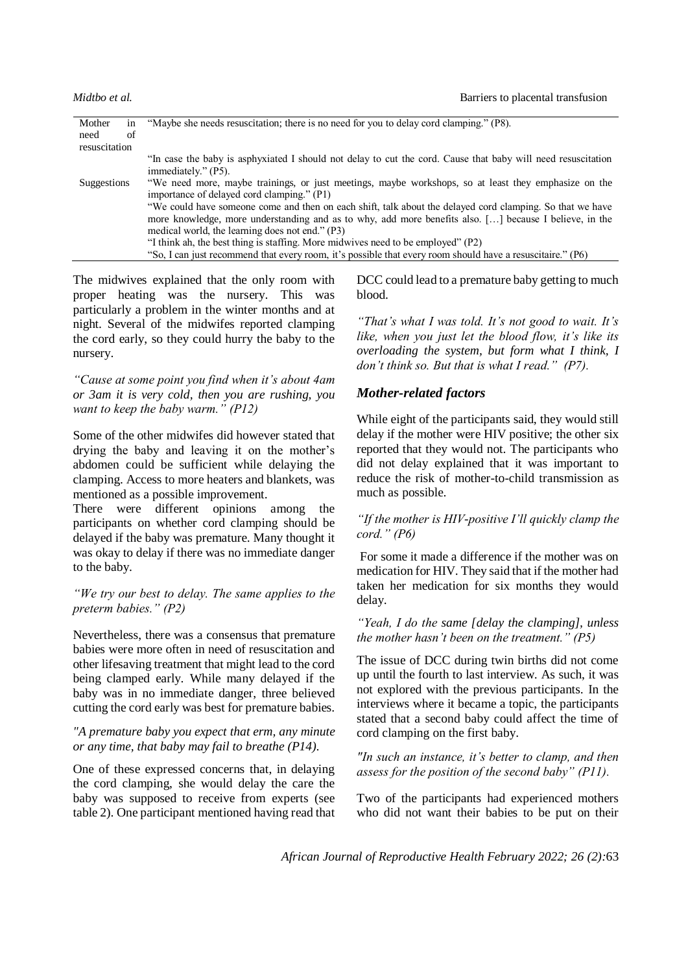| Mother        |    | "Maybe she needs resuscitation; there is no need for you to delay cord clamping." (P8).                      |
|---------------|----|--------------------------------------------------------------------------------------------------------------|
| need          | of |                                                                                                              |
| resuscitation |    |                                                                                                              |
|               |    | "In case the baby is asphyxiated I should not delay to cut the cord. Cause that baby will need resuscitation |
|               |    | immediately." (P5).                                                                                          |
| Suggestions   |    | "We need more, maybe trainings, or just meetings, maybe workshops, so at least they emphasize on the         |
|               |    | importance of delayed cord clamping." (P1)                                                                   |
|               |    | "We could have someone come and then on each shift, talk about the delayed cord clamping. So that we have    |
|               |    | more knowledge, more understanding and as to why, add more benefits also. [] because I believe, in the       |
|               |    | medical world, the learning does not end." (P3)                                                              |
|               |    | "I think ah, the best thing is staffing. More midwives need to be employed" (P2)                             |
|               |    | "So, I can just recommend that every room, it's possible that every room should have a resuscitaire." (P6)   |

The midwives explained that the only room with proper heating was the nursery. This was particularly a problem in the winter months and at night. Several of the midwifes reported clamping the cord early, so they could hurry the baby to the nursery.

*"Cause at some point you find when it's about 4am or 3am it is very cold, then you are rushing, you want to keep the baby warm." (P12)*

Some of the other midwifes did however stated that drying the baby and leaving it on the mother's abdomen could be sufficient while delaying the clamping. Access to more heaters and blankets, was mentioned as a possible improvement.

There were different opinions among the participants on whether cord clamping should be delayed if the baby was premature. Many thought it was okay to delay if there was no immediate danger to the baby.

### *"We try our best to delay. The same applies to the preterm babies." (P2)*

Nevertheless, there was a consensus that premature babies were more often in need of resuscitation and other lifesaving treatment that might lead to the cord being clamped early. While many delayed if the baby was in no immediate danger, three believed cutting the cord early was best for premature babies.

### *"A premature baby you expect that erm, any minute or any time, that baby may fail to breathe (P14).*

One of these expressed concerns that, in delaying the cord clamping, she would delay the care the baby was supposed to receive from experts (see table 2). One participant mentioned having read that DCC could lead to a premature baby getting to much blood.

*"That's what I was told. It's not good to wait. It's like, when you just let the blood flow, it's like its overloading the system, but form what I think, I don't think so. But that is what I read." (P7).*

## *Mother-related factors*

While eight of the participants said, they would still delay if the mother were HIV positive; the other six reported that they would not. The participants who did not delay explained that it was important to reduce the risk of mother-to-child transmission as much as possible.

### *"If the mother is HIV-positive I'll quickly clamp the cord." (P6)*

For some it made a difference if the mother was on medication for HIV. They said that if the mother had taken her medication for six months they would delay.

### *"Yeah, I do the same [delay the clamping], unless the mother hasn't been on the treatment." (P5)*

The issue of DCC during twin births did not come up until the fourth to last interview. As such, it was not explored with the previous participants. In the interviews where it became a topic, the participants stated that a second baby could affect the time of cord clamping on the first baby.

*"In such an instance, it's better to clamp, and then assess for the position of the second baby" (P11).*

Two of the participants had experienced mothers who did not want their babies to be put on their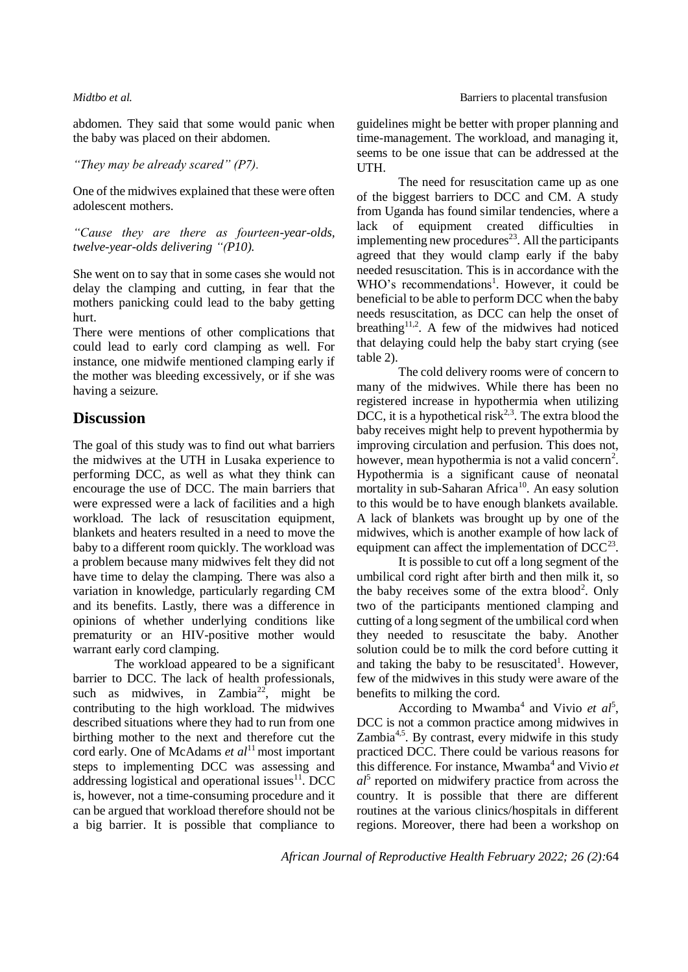abdomen. They said that some would panic when the baby was placed on their abdomen.

### *"They may be already scared" (P7).*

One of the midwives explained that these were often adolescent mothers.

*"Cause they are there as fourteen-year-olds, twelve-year-olds delivering "(P10).*

She went on to say that in some cases she would not delay the clamping and cutting, in fear that the mothers panicking could lead to the baby getting hurt.

There were mentions of other complications that could lead to early cord clamping as well. For instance, one midwife mentioned clamping early if the mother was bleeding excessively, or if she was having a seizure.

## **Discussion**

The goal of this study was to find out what barriers the midwives at the UTH in Lusaka experience to performing DCC, as well as what they think can encourage the use of DCC. The main barriers that were expressed were a lack of facilities and a high workload. The lack of resuscitation equipment, blankets and heaters resulted in a need to move the baby to a different room quickly. The workload was a problem because many midwives felt they did not have time to delay the clamping. There was also a variation in knowledge, particularly regarding CM and its benefits. Lastly, there was a difference in opinions of whether underlying conditions like prematurity or an HIV-positive mother would warrant early cord clamping.

The workload appeared to be a significant barrier to DCC. The lack of health professionals, such as midwives, in Zambia<sup>22</sup>, might be contributing to the high workload. The midwives described situations where they had to run from one birthing mother to the next and therefore cut the cord early. One of McAdams *et al*<sup>11</sup> most important steps to implementing DCC was assessing and addressing logistical and operational issues $<sup>11</sup>$ . DCC</sup> is, however, not a time-consuming procedure and it can be argued that workload therefore should not be a big barrier. It is possible that compliance to guidelines might be better with proper planning and time-management. The workload, and managing it, seems to be one issue that can be addressed at the UTH.

The need for resuscitation came up as one of the biggest barriers to DCC and CM. A study from Uganda has found similar tendencies, where a lack of equipment created difficulties in implementing new procedures $2<sup>3</sup>$ . All the participants agreed that they would clamp early if the baby needed resuscitation. This is in accordance with the WHO's recommendations<sup>1</sup>. However, it could be beneficial to be able to perform DCC when the baby needs resuscitation, as DCC can help the onset of breathing<sup>11,2</sup>. A few of the midwives had noticed that delaying could help the baby start crying (see table 2).

The cold delivery rooms were of concern to many of the midwives. While there has been no registered increase in hypothermia when utilizing DCC, it is a hypothetical risk<sup>2,3</sup>. The extra blood the baby receives might help to prevent hypothermia by improving circulation and perfusion. This does not, however, mean hypothermia is not a valid concern<sup>2</sup>. Hypothermia is a significant cause of neonatal mortality in sub-Saharan Africa<sup>10</sup>. An easy solution to this would be to have enough blankets available. A lack of blankets was brought up by one of the midwives, which is another example of how lack of equipment can affect the implementation of  $DCC^{23}$ .

It is possible to cut off a long segment of the umbilical cord right after birth and then milk it, so the baby receives some of the extra blood<sup>2</sup>. Only two of the participants mentioned clamping and cutting of a long segment of the umbilical cord when they needed to resuscitate the baby. Another solution could be to milk the cord before cutting it and taking the baby to be resuscitated<sup>1</sup>. However, few of the midwives in this study were aware of the benefits to milking the cord.

According to Mwamba<sup>4</sup> and Vivio *et al*<sup>5</sup>, DCC is not a common practice among midwives in Zambia $4.5$ . By contrast, every midwife in this study practiced DCC. There could be various reasons for this difference. For instance, Mwamba<sup>4</sup> and Vivio et *al*5 reported on midwifery practice from across the country. It is possible that there are different routines at the various clinics/hospitals in different regions. Moreover, there had been a workshop on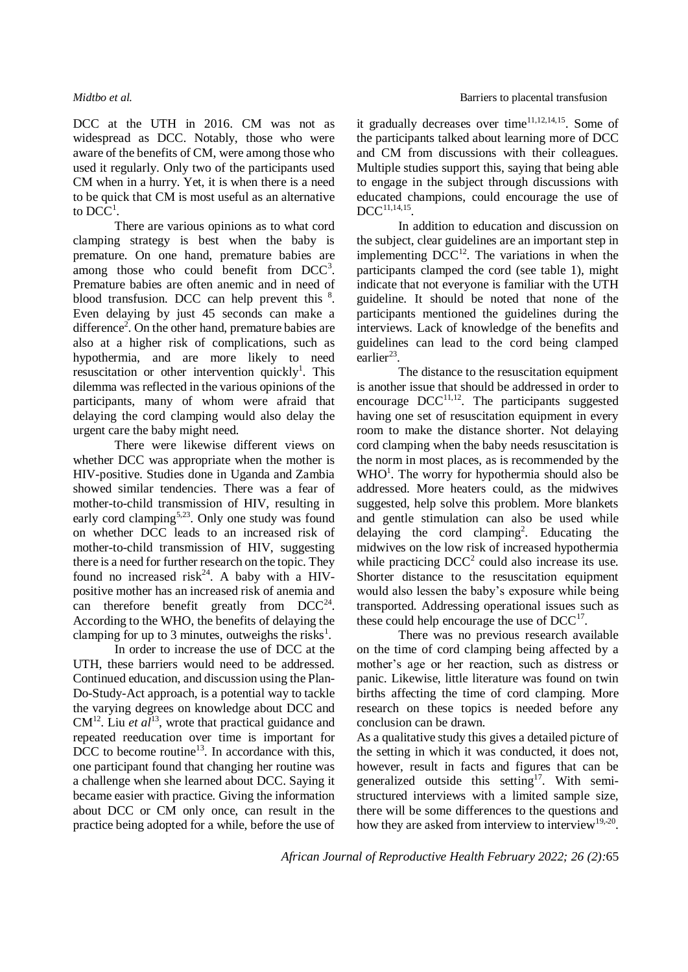DCC at the UTH in 2016. CM was not as widespread as DCC. Notably, those who were aware of the benefits of CM, were among those who used it regularly. Only two of the participants used CM when in a hurry. Yet, it is when there is a need to be quick that CM is most useful as an alternative to  $DCC<sup>1</sup>$ .

There are various opinions as to what cord clamping strategy is best when the baby is premature. On one hand, premature babies are among those who could benefit from  $DCC<sup>3</sup>$ . Premature babies are often anemic and in need of blood transfusion. DCC can help prevent this  $\frac{8}{3}$ . Even delaying by just 45 seconds can make a difference<sup>2</sup>. On the other hand, premature babies are also at a higher risk of complications, such as hypothermia, and are more likely to need resuscitation or other intervention quickly<sup>1</sup>. This dilemma was reflected in the various opinions of the participants, many of whom were afraid that delaying the cord clamping would also delay the urgent care the baby might need.

There were likewise different views on whether DCC was appropriate when the mother is HIV-positive. Studies done in Uganda and Zambia showed similar tendencies. There was a fear of mother-to-child transmission of HIV, resulting in early cord clamping<sup>5,23</sup>. Only one study was found on whether DCC leads to an increased risk of mother-to-child transmission of HIV, suggesting there is a need for further research on the topic. They found no increased risk<sup>24</sup>. A baby with a HIVpositive mother has an increased risk of anemia and can therefore benefit greatly from  $DCC^{24}$ . According to the WHO, the benefits of delaying the clamping for up to 3 minutes, outweighs the risks<sup>1</sup>.

In order to increase the use of DCC at the UTH, these barriers would need to be addressed. Continued education, and discussion using the Plan-Do-Study-Act approach, is a potential way to tackle the varying degrees on knowledge about DCC and  $CM<sup>12</sup>$ . Liu *et al*<sup>13</sup>, wrote that practical guidance and repeated reeducation over time is important for  $\overrightarrow{DCC}$  to become routine<sup>13</sup>. In accordance with this, one participant found that changing her routine was a challenge when she learned about DCC. Saying it became easier with practice. Giving the information about DCC or CM only once, can result in the practice being adopted for a while, before the use of it gradually decreases over time $11,12,14,15$ . Some of the participants talked about learning more of DCC and CM from discussions with their colleagues. Multiple studies support this, saying that being able to engage in the subject through discussions with educated champions, could encourage the use of  $DCC^{11,14,15}$ .

In addition to education and discussion on the subject, clear guidelines are an important step in implementing  $DCC^{12}$ . The variations in when the participants clamped the cord (see table 1), might indicate that not everyone is familiar with the UTH guideline. It should be noted that none of the participants mentioned the guidelines during the interviews. Lack of knowledge of the benefits and guidelines can lead to the cord being clamped earlier<sup>23</sup>.

The distance to the resuscitation equipment is another issue that should be addressed in order to encourage  $DCC^{11,12}$ . The participants suggested having one set of resuscitation equipment in every room to make the distance shorter. Not delaying cord clamping when the baby needs resuscitation is the norm in most places, as is recommended by the WHO<sup>1</sup>. The worry for hypothermia should also be addressed. More heaters could, as the midwives suggested, help solve this problem. More blankets and gentle stimulation can also be used while delaying the cord clamping<sup>2</sup>. Educating the midwives on the low risk of increased hypothermia while practicing  $DCC^2$  could also increase its use. Shorter distance to the resuscitation equipment would also lessen the baby's exposure while being transported. Addressing operational issues such as these could help encourage the use of  $DCC<sup>17</sup>$ .

There was no previous research available on the time of cord clamping being affected by a mother's age or her reaction, such as distress or panic. Likewise, little literature was found on twin births affecting the time of cord clamping. More research on these topics is needed before any conclusion can be drawn.

As a qualitative study this gives a detailed picture of the setting in which it was conducted, it does not, however, result in facts and figures that can be generalized outside this setting<sup>17</sup>. With semistructured interviews with a limited sample size, there will be some differences to the questions and how they are asked from interview to interview<sup>19,20</sup>.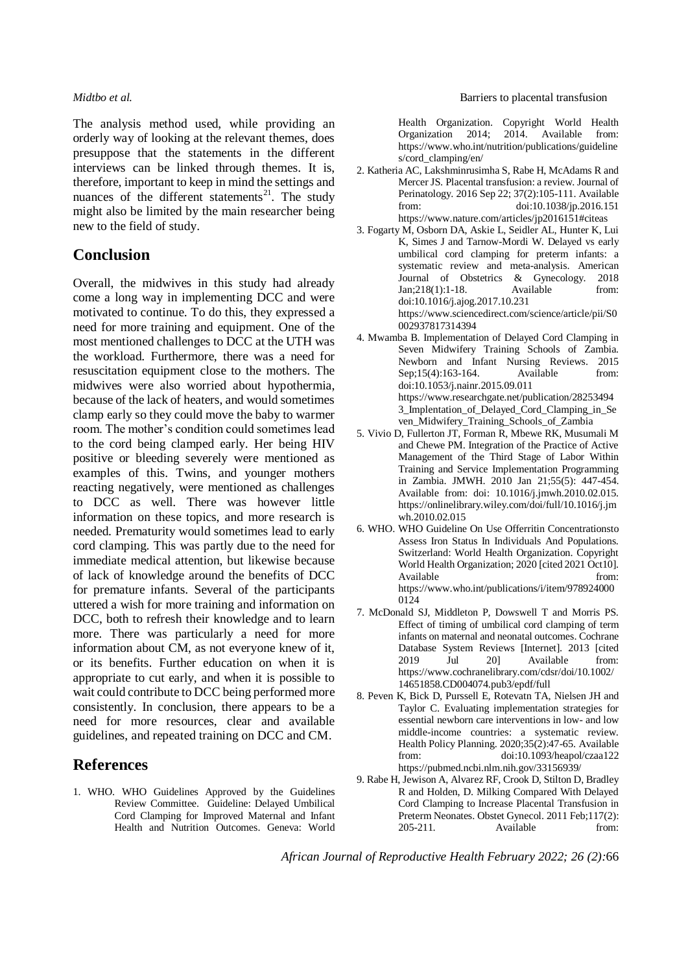The analysis method used, while providing an orderly way of looking at the relevant themes, does presuppose that the statements in the different interviews can be linked through themes. It is, therefore, important to keep in mind the settings and nuances of the different statements<sup>21</sup>. The study might also be limited by the main researcher being new to the field of study.

## **Conclusion**

Overall, the midwives in this study had already come a long way in implementing DCC and were motivated to continue. To do this, they expressed a need for more training and equipment. One of the most mentioned challenges to DCC at the UTH was the workload. Furthermore, there was a need for resuscitation equipment close to the mothers. The midwives were also worried about hypothermia, because of the lack of heaters, and would sometimes clamp early so they could move the baby to warmer room. The mother's condition could sometimes lead to the cord being clamped early. Her being HIV positive or bleeding severely were mentioned as examples of this. Twins, and younger mothers reacting negatively, were mentioned as challenges to DCC as well. There was however little information on these topics, and more research is needed. Prematurity would sometimes lead to early cord clamping. This was partly due to the need for immediate medical attention, but likewise because of lack of knowledge around the benefits of DCC for premature infants. Several of the participants uttered a wish for more training and information on DCC, both to refresh their knowledge and to learn more. There was particularly a need for more information about CM, as not everyone knew of it, or its benefits. Further education on when it is appropriate to cut early, and when it is possible to wait could contribute to DCC being performed more consistently. In conclusion, there appears to be a need for more resources, clear and available guidelines, and repeated training on DCC and CM.

## **References**

1. WHO. WHO Guidelines Approved by the Guidelines Review Committee. Guideline: Delayed Umbilical Cord Clamping for Improved Maternal and Infant Health and Nutrition Outcomes. Geneva: World

Health Organization. Copyright World Health Organization 2014; 2014. Available from: https://www.who.int/nutrition/publications/guideline s/cord\_clamping/en/

- 2. Katheria AC, Lakshminrusimha S, Rabe H, McAdams R and Mercer JS. Placental transfusion: a review. Journal of Perinatology. 2016 Sep 22; 37(2):105-111. Available from: doi:10.1038/jp.2016.151 https://www.nature.com/articles/jp2016151#citeas
- 3. Fogarty M, Osborn DA, Askie L, Seidler AL, Hunter K, Lui K, Simes J and Tarnow-Mordi W. Delayed vs early umbilical cord clamping for preterm infants: a systematic review and meta-analysis. American Journal of Obstetrics & Gynecology. 2018 Jan;218(1):1-18. Available from: doi:10.1016/j.ajog.2017.10.231 https://www.sciencedirect.com/science/article/pii/S0 002937817314394
- 4. Mwamba B. Implementation of Delayed Cord Clamping in Seven Midwifery Training Schools of Zambia. Newborn and Infant Nursing Reviews. 2015 Sep;15(4):163-164. Available from: doi:10.1053/j.nainr.2015.09.011 https://www.researchgate.net/publication/28253494 3\_Implentation\_of\_Delayed\_Cord\_Clamping\_in\_Se ven\_Midwifery\_Training\_Schools\_of\_Zambia
- 5. Vivio D, Fullerton JT, Forman R, Mbewe RK, Musumali M and Chewe PM. Integration of the Practice of Active Management of the Third Stage of Labor Within Training and Service Implementation Programming in Zambia. JMWH. 2010 Jan 21;55(5): 447-454. Available from: doi: 10.1016/j.jmwh.2010.02.015. https://onlinelibrary.wiley.com/doi/full/10.1016/j.jm wh.2010.02.015
- 6. WHO. WHO Guideline On Use Offerritin Concentrationsto Assess Iron Status In Individuals And Populations. Switzerland: World Health Organization. Copyright World Health Organization; 2020 [cited 2021 Oct10]. Available from: https://www.who.int/publications/i/item/978924000 0124
- 7. McDonald SJ, Middleton P, Dowswell T and Morris PS. Effect of timing of umbilical cord clamping of term infants on maternal and neonatal outcomes. Cochrane Database System Reviews [Internet]. 2013 [cited 2019 Jul 20] Available from: https://www.cochranelibrary.com/cdsr/doi/10.1002/ 14651858.CD004074.pub3/epdf/full
- 8. Peven K, Bick D, Purssell E, Rotevatn TA, Nielsen JH and Taylor C. Evaluating implementation strategies for essential newborn care interventions in low- and low middle-income countries: a systematic review. Health Policy Planning. 2020;35(2):47-65. Available from: doi:10.1093/heapol/czaa122 https://pubmed.ncbi.nlm.nih.gov/33156939/
- 9. Rabe H, Jewison A, Alvarez RF, Crook D, Stilton D, Bradley R and Holden, D. Milking Compared With Delayed Cord Clamping to Increase Placental Transfusion in Preterm Neonates. Obstet Gynecol. 2011 Feb;117(2): 205-211. Available from: